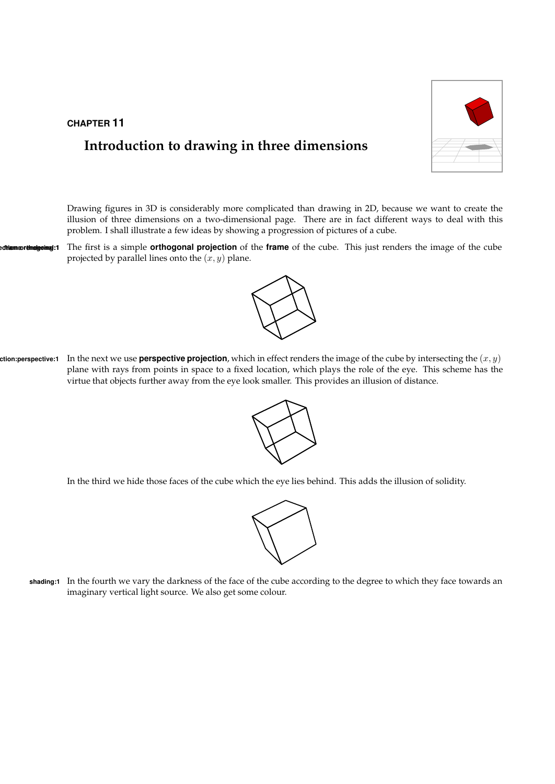

## Introduction to drawing in three dimensions

CHAPTER 11

Drawing figures in 3D is considerably more complicated than drawing in 2D, because we want to create the illusion of three dimensions on a two-dimensional page. There are in fact different ways to deal with this problem. I shall illustrate a few ideas by showing a progression of pictures of a cube.

ection: or those points in The first is a simple orthogonal projection of the frame of the cube. This just renders the image of the cube projected by parallel lines onto the  $(x, y)$  plane.



ction:perspective:1 In the next we use **perspective projection**, which in effect renders the image of the cube by intersecting the  $(x, y)$ plane with rays from points in space to a fixed location, which plays the role of the eye. This scheme has the virtue that objects further away from the eye look smaller. This provides an illusion of distance.



In the third we hide those faces of the cube which the eye lies behind. This adds the illusion of solidity.



shading:1 In the fourth we vary the darkness of the face of the cube according to the degree to which they face towards an imaginary vertical light source. We also get some colour.